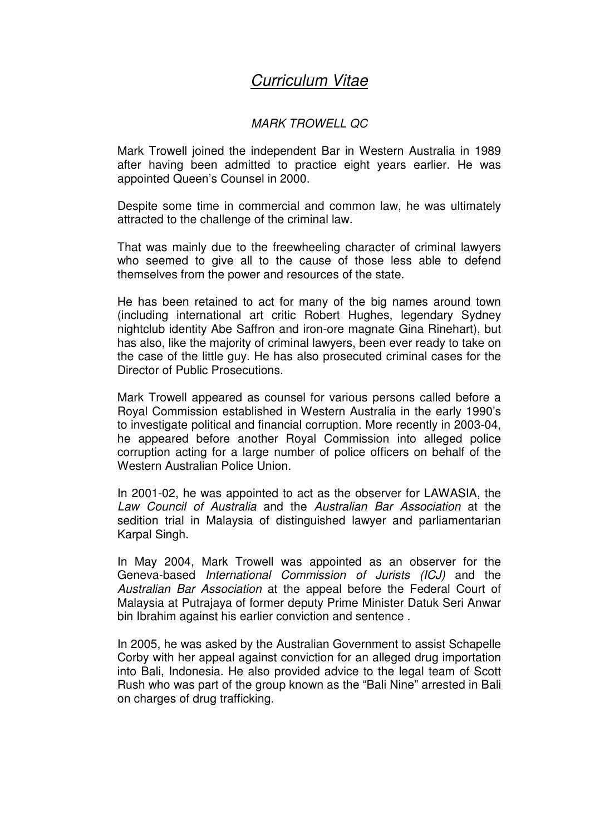## Curriculum Vitae

## MARK TROWELL QC

Mark Trowell joined the independent Bar in Western Australia in 1989 after having been admitted to practice eight years earlier. He was appointed Queen's Counsel in 2000.

Despite some time in commercial and common law, he was ultimately attracted to the challenge of the criminal law.

That was mainly due to the freewheeling character of criminal lawyers who seemed to give all to the cause of those less able to defend themselves from the power and resources of the state.

He has been retained to act for many of the big names around town (including international art critic Robert Hughes, legendary Sydney nightclub identity Abe Saffron and iron-ore magnate Gina Rinehart), but has also, like the majority of criminal lawyers, been ever ready to take on the case of the little guy. He has also prosecuted criminal cases for the Director of Public Prosecutions.

Mark Trowell appeared as counsel for various persons called before a Royal Commission established in Western Australia in the early 1990's to investigate political and financial corruption. More recently in 2003-04, he appeared before another Royal Commission into alleged police corruption acting for a large number of police officers on behalf of the Western Australian Police Union.

In 2001-02, he was appointed to act as the observer for LAWASIA, the Law Council of Australia and the Australian Bar Association at the sedition trial in Malaysia of distinguished lawyer and parliamentarian Karpal Singh.

In May 2004, Mark Trowell was appointed as an observer for the Geneva-based International Commission of Jurists (ICJ) and the Australian Bar Association at the appeal before the Federal Court of Malaysia at Putrajaya of former deputy Prime Minister Datuk Seri Anwar bin Ibrahim against his earlier conviction and sentence .

In 2005, he was asked by the Australian Government to assist Schapelle Corby with her appeal against conviction for an alleged drug importation into Bali, Indonesia. He also provided advice to the legal team of Scott Rush who was part of the group known as the "Bali Nine" arrested in Bali on charges of drug trafficking.